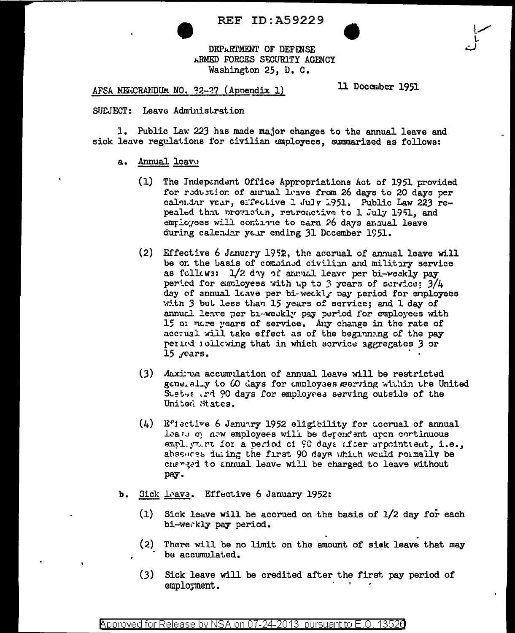**REF ID:A59229** 

DEPARTMENT OF DEFENSE ARMED FORCES SECURITY AGENCY Washington 25, D. C.

AFSA MELICRANDUM NO. 32-27 (Appendix 1)

11 December 1951

SUEJECT: Leave Administration

1. Public Law 223 has made major changes to the annual leave and sick leave regulations for civilian employees, summarized as follows:

## a. Annual leave

- (1) The Independent Office Appropriations Act of 1951 provided for reduction of anrual leave from 26 days to 20 days per calendar vear, effective 1 July 1951. Public Law 223 repealed that provision, retroactive to 1 July 1951, and employees will continue to earn 26 days annual leave during calendar year ending 31 December 1951.
- (2) Effective 6 January 1952, the accrual of annual leave will be on the basis of combined civilian and military service as follows: 1/2 day of annual leave per bi-weakly pay period for employees with up to 3 years of service:  $3/4$ day of annual leave per bi-weckl, pay period for employees with 3 but less than 15 years of service; and 1 day of annual leave per bi-weekly pay period for employees with 15 or more years of service. Any change in the rate of accrual will take effect as of the beginning of the pay period iolicwing that in which service aggregates 3 or  $15$   $y$ ears.
- (3) Maxirum accumulation of annual leave will be restricted generally to 60 days for employees serving within the United Sustes and 90 days for employees serving outside of the United States.
- (4) Effective 6 January 1952 eligibility for accrual of annual lease of new employees will be dependent upon continuous empl. yn.rt for a period of 90 days after arpointment, i.e., absoures during the first 90 days which would rormally be characed to annual leave will be charged to leave without pay.
- b. Sick Leave. Effective 6 January 1952:
	- (1) Sick leave will be accrued on the basis of 1/2 day for each bi-weckly pay period.
	- (2) There will be no limit on the amount of sick leave that may be accumulated.
	- (3) Sick leave will be credited after the first pay period of employment.

Approved for Release by NSA on 07-24-2013 pursuant to E.O. 13526